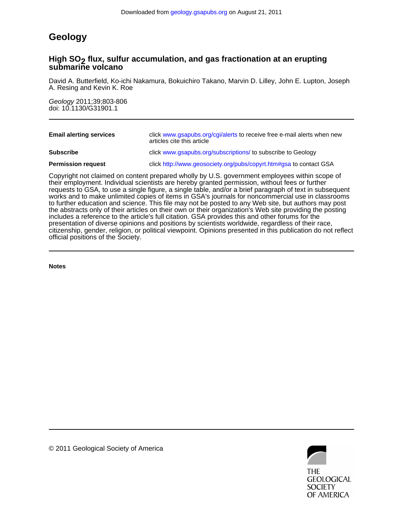# **Geology**

### **submarine volcano High SO<sub>2</sub> flux, sulfur accumulation, and gas fractionation at an erupting**

A. Resing and Kevin K. Roe David A. Butterfield, Ko-ichi Nakamura, Bokuichiro Takano, Marvin D. Lilley, John E. Lupton, Joseph

doi: 10.1130/G31901.1 Geology 2011;39;803-806

| <b>Email alerting services</b> | click www.gsapubs.org/cgi/alerts to receive free e-mail alerts when new<br>articles cite this article |
|--------------------------------|-------------------------------------------------------------------------------------------------------|
| <b>Subscribe</b>               | click www.gsapubs.org/subscriptions/ to subscribe to Geology                                          |
| <b>Permission request</b>      | click http://www.geosociety.org/pubs/copyrt.htm#gsa to contact GSA                                    |

official positions of the Society. citizenship, gender, religion, or political viewpoint. Opinions presented in this publication do not reflect presentation of diverse opinions and positions by scientists worldwide, regardless of their race, includes a reference to the article's full citation. GSA provides this and other forums for the the abstracts only of their articles on their own or their organization's Web site providing the posting to further education and science. This file may not be posted to any Web site, but authors may post works and to make unlimited copies of items in GSA's journals for noncommercial use in classrooms requests to GSA, to use a single figure, a single table, and/or a brief paragraph of text in subsequent their employment. Individual scientists are hereby granted permission, without fees or further Copyright not claimed on content prepared wholly by U.S. government employees within scope of

**Notes**



© 2011 Geological Society of America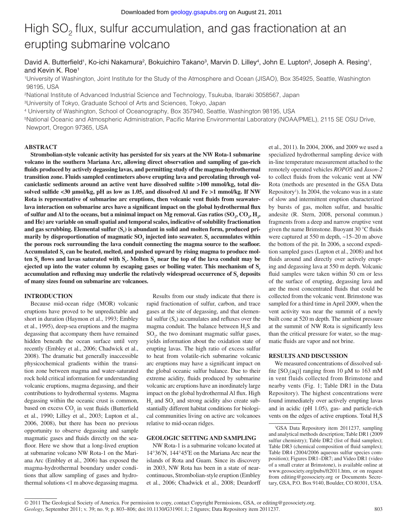# High SO<sub>2</sub> flux, sulfur accumulation, and gas fractionation at an erupting submarine volcano

David A. Butterfield<sup>1</sup>, Ko-ichi Nakamura<sup>2</sup>, Bokuichiro Takano<sup>3</sup>, Marvin D. Lilley<sup>4</sup>, John E. Lupton<sup>5</sup>, Joseph A. Resing<sup>1</sup>, and Kevin K. Roe1

1 University of Washington, Joint Institute for the Study of the Atmosphere and Ocean (JISAO), Box 354925, Seattle, Washington 98195, USA

2National Institute of Advanced Industrial Science and Technology, Tsukuba, Ibaraki 3058567, Japan

3University of Tokyo, Graduate School of Arts and Sciences, Tokyo, Japan

4 University of Washington, School of Oceanography, Box 357940, Seattle, Washington 98195, USA

<sup>5</sup>National Oceanic and Atmospheric Administration, Pacific Marine Environmental Laboratory (NOAA/PMEL), 2115 SE OSU Drive, Newport, Oregon 97365, USA

#### **ABSTRACT**

**Strombolian-style volcanic activity has persisted for six years at the NW Rota-1 submarine volcano in the southern Mariana Arc, allowing direct observation and sampling of gas-rich**  fluids produced by actively degassing lavas, and permitting study of the magma-hydrothermal **transition zone. Fluids sampled centimeters above erupting lava and percolating through vol**caniclastic sediments around an active vent have dissolved sulfite >100 mmol/kg, total dissolved sulfide <30 µmol/kg, pH as low as 1.05, and dissolved Al and Fe >1 mmol/kg. If NW Rota is representative of submarine arc eruptions, then volcanic vent fluids from seawaterlava interaction on submarine arcs have a significant impact on the global hydrothermal flux of sulfur and Al to the oceans, but a minimal impact on Mg removal. Gas ratios  $(\text{SO}_2, \text{CO}_2, \text{H}_2,$ **and He) are variable on small spatial and temporal scales, indicative of solubility fractionation**  and gas scrubbing. Elemental sulfur (S<sub>c</sub>) is abundant in solid and molten form, produced primarily by disproportionation of magmatic SO<sub>2</sub> injected into seawater. S<sub>e</sub> accumulates within the porous rock surrounding the lava conduit connecting the magma source to the seafloor. Accumulated S<sub>e</sub> can be heated, melted, and pushed upward by rising magma to produce molten S<sub>e</sub> flows and lavas saturated with S<sub>e</sub>. Molten S<sub>e</sub> near the top of the lava conduit may be **ejected up into the water column by escaping gases or boiling water. This mechanism of Se** accumulation and refluxing may underlie the relatively widespread occurrence of S<sub>e</sub> deposits **of many sizes found on submarine arc volcanoes.**

#### **INTRODUCTION**

Because mid-ocean ridge (MOR) volcanic eruptions have proved to be unpredictable and short in duration (Haymon et al., 1993; Embley et al., 1995), deep-sea eruptions and the magma degassing that accompany them have remained hidden beneath the ocean surface until very recently (Embley et al., 2006; Chadwick et al., 2008). The dramatic but generally inaccessible physicochemical gradients within the transition zone between magma and water-saturated rock hold critical information for understanding volcanic eruptions, magma degassing, and their contributions to hydrothermal systems. Magma degassing within the oceanic crust is common, based on excess  $CO<sub>2</sub>$  in vent fluids (Butterfield et al., 1990; Lilley et al., 2003; Lupton et al., 2006, 2008), but there has been no previous opportunity to observe degassing and sample magmatic gases and fluids directly on the seafloor. Here we show that a long-lived eruption at submarine volcano NW Rota-1 on the Mariana Arc (Embley et al., 2006) has exposed the magma-hydrothermal boundary under conditions that allow sampling of gases and hydrothermal solutions <1 m above degassing magma.

Results from our study indicate that there is rapid fractionation of sulfur, carbon, and trace gases at the site of degassing, and that elemental sulfur  $(S_e)$  accumulates and refluxes over the magma conduit. The balance between  $H_2S$  and  $SO<sub>2</sub>$ , the two dominant magmatic sulfur gases, yields information about the oxidation state of erupting lavas. The high ratio of excess sulfur to heat from volatile-rich submarine volcanic arc eruptions may have a significant impact on the global oceanic sulfur balance. Due to their extreme acidity, fluids produced by submarine volcanic arc eruptions have an inordinately large impact on the global hydrothermal Al flux. High  $H_2$  and SO<sub>2</sub> and strong acidity also create substantially different habitat conditions for biological communities living on active arc volcanoes relative to mid-ocean ridges.

#### **GEOLOGIC SETTING AND SAMPLING**

NW Rota-1 is a submarine volcano located at 14°36′N, 144°45′E on the Mariana Arc near the islands of Rota and Guam. Since its discovery in 2003, NW Rota has been in a state of nearcontinuous, Strombolian-style eruption (Embley et al., 2006; Chadwick et al., 2008; Deardorff

et al., 2011). In 2004, 2006, and 2009 we used a specialized hydrothermal sampling device with in-line temperature measurement attached to the remotely operated vehicles *ROPOS* and *Jason-2* to collect fluids from the volcanic vent at NW Rota (methods are presented in the GSA Data Repository<sup>1</sup>). In 2004, the volcano was in a state of slow and intermittent eruption characterized by bursts of gas, molten sulfur, and basaltic andesite (R. Stern, 2008, personal commun.) fragments from a deep and narrow eruptive vent given the name Brimstone. Buoyant  $30^{\circ}$ C fluids were captured at 550 m depth, ~15–20 m above the bottom of the pit. In 2006, a second expedition sampled gases (Lupton et al., 2008) and hot fluids around and directly over actively erupting and degassing lava at 550 m depth. Volcanic fluid samples were taken within 50 cm or less of the surface of erupting, degassing lava and are the most concentrated fluids that could be collected from the volcanic vent. Brimstone was sampled for a third time in April 2009, when the vent activity was near the summit of a newly built cone at 520 m depth. The ambient pressure at the summit of NW Rota is significantly less than the critical pressure for water, so the magmatic fluids are vapor and not brine.

#### **RESULTS AND DISCUSSION**

We measured concentrations of dissolved sulfite  $[SO_2(aq)]$  ranging from 10  $\mu$ M to 163 mM in vent fluids collected from Brimstone and nearby vents (Fig. 1; Table DR1 in the Data Repository). The highest concentrations were found immediately over actively erupting lavas and in acidic (pH 1.05), gas- and particle-rich vents on the edges of active eruptions. Total  $H_2S$ 

<sup>1</sup> GSA Data Repository item 2011237, sampling and analytical methods description; Table DR1 (2009 sulfur chemistry); Table DR2 (list of fluid samples); Table DR3 (chemical composition of fluid samples); Table DR4 (2004/2006 aqueous sulfur species composition); Figures DR1–DR7; and Video DR1 (video of a small crater at Brimstone), is available online at www.geosociety.org/pubs/ft2011.htm, or on request from editing@geosociety.org or Documents Secretary, GSA, P.O. Box 9140, Boulder, CO 80301, USA.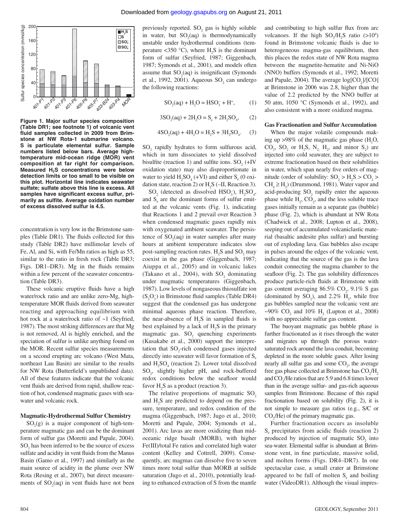

**Figure 1. Major sulfur species composition (Table DR1; see footnote 1) of volcanic vent**  fluid samples collected in 2009 from Brim**stone at NW Rota-1 submarine volcano. S is particulate elemental sulfur. Sample numbers listed below bars. Average hightemperature mid-ocean ridge (MOR) vent composition at far right for comparison. Measured H2S concentrations were below detection limits or too small to be visible on this plot. Horizontal line indicates seawater sulfate; sulfate above this line is excess. All**  samples have significant excess sulfur, primarily as sulfite. Average oxidation number **of excess dissolved sulfur is 4.5.**

concentration is very low in the Brimstone samples (Table DR1). The fluids collected for this study (Table DR2) have millimolar levels of Fe, Al, and Si, with Fe/Mn ratios as high as 55, similar to the ratio in fresh rock (Table DR3; Figs. DR1–DR3). Mg in the fluids remains within a few percent of the seawater concentration (Table DR3).

These volcanic eruptive fluids have a high water/rock ratio and are unlike zero-Mg, hightemperature MOR fluids derived from seawater reacting and approaching equilibrium with hot rock at a water/rock ratio of ~1 (Seyfried, 1987). The most striking differences are that Mg is not removed, Al is highly enriched, and the speciation of sulfur is unlike anything found on the MOR. Recent sulfur species measurements on a second erupting arc volcano (West Mata, northeast Lau Basin) are similar to the results for NW Rota (Butterfield's unpublished data). All of these features indicate that the volcanic vent fluids are derived from rapid, shallow reaction of hot, condensed magmatic gases with seawater and volcanic rock.

#### **Magmatic-Hydrothermal Sulfur Chemistry**

 $SO<sub>2</sub>(g)$  is a major component of high-temperature magmatic gas and can be the dominant form of sulfur gas (Moretti and Papale, 2004).  $SO_2$  has been inferred to be the source of excess sulfate and acidity in vent fluids from the Manus Basin (Gamo et al., 1997) and similarly as the main source of acidity in the plume over NW Rota (Resing et al., 2007), but direct measurements of  $SO_2(aq)$  in vent fluids have not been

previously reported.  $SO_2$  gas is highly soluble in water, but  $SO_2(aq)$  is thermodynamically unstable under hydrothermal conditions (temperature <350 °C), where  $H_2S$  is the dominant form of sulfur (Seyfried, 1987; Giggenbach, 1987; Symonds et al., 2001), and models often assume that  $SO_2(aq)$  is insignificant (Symonds et al., 1992, 2001). Aqueous  $SO_2$  can undergo the following reactions:

$$
SO_2(aq) + H_2O = HSO_3^- + H^+, \qquad (1)
$$

$$
3SO_2(aq) + 2H_2O = S_e + 2H_2SO_4,\qquad(2)
$$

$$
4SO_2(aq) + 4H_2O = H_2S + 3H_2SO_4.
$$
 (3)

 $SO<sub>2</sub>$  rapidly hydrates to form sulfurous acid, which in turn dissociates to yield dissolved bisulfite (reaction 1) and sulfite ions.  $SO_2$  (+IV oxidation state) may also disproportionate in water to yield  $H_2SO_4$  (+VI) and either  $S_e$  (0 oxidation state, reaction 2) or  $H_2S$  (–II, Reaction 3).

 $SO_2$  (detected as dissolved HSO<sub>3</sub>), H<sub>2</sub>SO<sub>4</sub>, and  $S<sub>e</sub>$  are the dominant forms of sulfur emitted at the volcanic vents (Fig. 1), indicating that Reactions 1 and 2 prevail over Reaction 3 when condensed magmatic gases rapidly mix with oxygenated ambient seawater. The persistence of  $SO_2(aq)$  in water samples after many hours at ambient temperature indicates slow post-sampling reaction rates.  $H_2S$  and  $SO_2$  may coexist in the gas phase (Giggenbach, 1987; Aiuppa et al., 2005) and in volcanic lakes (Takano et al., 2004), with  $SO_2$  dominating under magmatic temperatures (Giggenbach, 1987). Low levels of nongaseous thiosulfate ion  $(S_2O_3^-)$  in Brimstone fluid samples (Table DR4) suggest that the condensed gas has undergone minimal aqueous phase reaction. Therefore, the near-absence of  $H_2S$  in sampled fluids is best explained by a lack of  $H_2S$  in the primary magmatic gas.  $SO_2$  quenching experiments (Kusakabe et al., 2000) support the interpretation that  $SO_2$ -rich condensed gases injected directly into seawater will favor formation of  $S_e$ and  $H_2SO_4$  (reaction 2). Lower total dissolved SO<sub>2</sub>, slightly higher pH, and rock-buffered redox conditions below the seafloor would favor  $H_2S$  as a product (reaction 3).

The relative proportions of magmatic  $SO<sub>2</sub>$ and  $H_2S$  are predicted to depend on the pressure, temperature, and redox condition of the magma (Giggenbach, 1987; Jugo et al., 2010; Moretti and Papale, 2004; Symonds et al., 2001). Arc lavas are more oxidizing than midoceanic ridge basalt (MORB), with higher Fe(III)/total Fe ratios and correlated high water content (Kelley and Cottrell, 2009). Consequently, arc magmas can dissolve five to seven times more total sulfur than MORB at sulfide saturation (Jugo et al., 2010), potentially leading to enhanced extraction of S from the mantle

and contributing to high sulfur flux from arc volcanoes. If the high  $SO_2/H_2S$  ratio (>10<sup>4</sup>) found in Brimstone volcanic fluids is due to heterogeneous magma-gas equilibrium, then this places the redox state of NW Rota magma between the magnetite-hematite and Ni-NiO (NNO) buffers (Symonds et al., 1992; Moretti and Papale, 2004). The average  $log[CO_2]/[CO]$ at Brimstone in 2006 was 2.8, higher than the value of 2.2 predicted by the NNO buffer at 50 atm, 1050 °C (Symonds et al., 1992), and also consistent with a more oxidized magma.

#### **Gas Fractionation and Sulfur Accumulation**

When the major volatile compounds making up >98% of the magmatic gas phase  $(H_2O,$ CO<sub>2</sub>, SO<sub>2</sub> or H<sub>2</sub>S, N<sub>2</sub>, H<sub>2</sub>, and minor S<sub>2</sub>) are injected into cold seawater, they are subject to extreme fractionation based on their solubilities in water, which span nearly five orders of magnitude (order of solubility:  $SO_2 > H_2S > CO_2 >$  $CH<sub>4</sub> \ge H<sub>2</sub>$  (Drummond, 1981). Water vapor and acid-producing  $SO_2$  rapidly enter the aqueous phase while  $H_2$ ,  $CO_2$ , and the less soluble trace gases initially remain as a separate gas (bubble) phase (Fig. 2), which is abundant at NW Rota (Chadwick et al., 2008; Lupton et al., 2008), seeping out of accumulated volcaniclastic material (basaltic andesite plus sulfur) and bursting out of exploding lava. Gas bubbles also escape in pulses around the edges of the volcanic vent, indicating that the source of the gas is the lava conduit connecting the magma chamber to the seafloor (Fig. 2). The gas solubility differences produce particle-rich fluids at Brimstone with gas content averaging  $86.5\%$  CO<sub>2</sub>,  $9.1\%$  S gas (dominated by  $SO_2$ ), and 2.2%  $H_2$ , while free gas bubbles sampled near the volcanic vent are ~90%  $CO_2$  and 10%  $H_2$  (Lupton et al., 2008) with no appreciable sulfur gas content.

The buoyant magmatic gas bubble phase is further fractionated as it rises through the water and migrates up through the porous watersaturated rock around the lava conduit, becoming depleted in the more soluble gases. After losing nearly all sulfur gas and some  $CO<sub>2</sub>$ , the average free gas phase collected at Brimstone has  $CO<sub>2</sub>/H<sub>2</sub>$ and  $CO_2$ /He ratios that are 5.9 and 6.8 times lower than in the average sulfur- and gas-rich aqueous samples from Brimstone. Because of this rapid fractionation based on solubility (Fig. 2), it is not simple to measure gas ratios (e.g., S/C or  $CO<sub>2</sub>/He$ ) of the primary magmatic gas.

Further fractionation occurs as insoluble  $S<sub>e</sub>$  precipitates from acidic fluids (reaction 2) produced by injection of magmatic  $SO_2$  into sea-water. Elemental sulfur is abundant at Brimstone vent, in fine particulate, massive solid, and molten forms (Figs. DR4–DR7). In one spectacular case, a small crater at Brimstone appeared to be full of molten  $S<sub>e</sub>$  and boiling water (VideoDR1). Although the visual impres-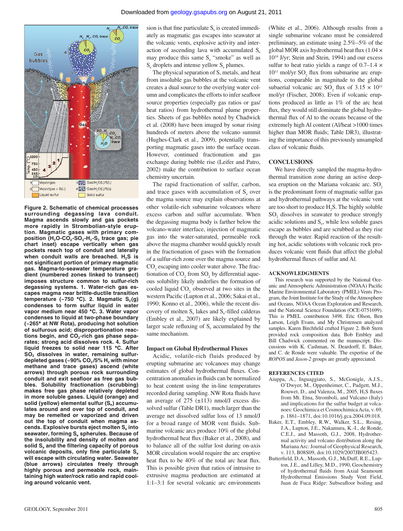

**Figure 2. Schematic of chemical processes surrounding degassing lava conduit. Magma ascends slowly and gas pockets more rapidly in Strombolian-style eruption. Magmatic gases with primary com**position (H<sub>2</sub>O-CO<sub>2</sub>-SO<sub>2</sub>-H<sub>2</sub>-S<sub>2</sub> trace gas; pie **chart inset) escape vertically when gas pockets reach top of conduit and laterally**  when conduit walls are breached. H<sub>2</sub>S is **not signifi cant portion of primary magmatic gas. Magma-to-seawater temperature gradient (numbered zones linked to transect) imposes structure common to sulfur-rich degassing systems. 1. Water-rich gas escapes magma near brittle-ductile transition**   $temperature$  (~750 °C). 2. Magmatic  $S<sub>2</sub>(g)$ **condenses to form sulfur liquid in water vapor medium near 450 °C. 3. Water vapor condenses to liquid at two-phase boundary (~265° at NW Rota), producing hot solution of sulfurous acid; disproportionation reac**tions begin, and CO<sub>2</sub>-rich gas phase sepa**rates; strong acid dissolves rock. 4. Sulfur liquid freezes to solid near 115 °C. After**  SO<sub>2</sub> dissolves in water, remaining sulfurdepleted gases (~90% CO<sub>2</sub>/5% H<sub>2</sub> with minor **methane and trace gases) ascend (white arrows) through porous rock surrounding**  conduit and exit seafloor as free gas bub**bles. Solubility fractionation (scrubbing) makes free gas phase relatively depleted in more soluble gases. Liquid (orange) and**  solid (yellow) elemental sulfur (S<sub>e</sub>) accumu**lates around and over top of conduit, and may be remelted or vaporized and driven out the top of conduit when magma ascends. Explosive bursts eject molten Se into**  seawater, forming S<sub>e</sub> spherules. Because of **the insolubility and density of molten and**  solid S<sub>e</sub> and the filtering capacity of porous volcanic deposits, only fine particulate S<sub>e</sub> will escape with circulating water. Seawater **(blue arrows) circulates freely through highly porous and permeable rock, maintaining high water/rock ratio and rapid cooling around volcanic vent.**

sion is that fine particulate  $S<sub>e</sub>$  is created immediately as magmatic gas escapes into seawater at the volcanic vents, explosive activity and interaction of ascending lava with accumulated  $S_e$ may produce this same  $S_e$  "smoke" as well as S<sub>e</sub> droplets and intense yellow S<sub>e</sub> plumes.

The physical separation of S, metals, and heat from insoluble gas bubbles at the volcanic vent creates a dual source to the overlying water column and complicates the efforts to infer seafloor source properties (especially gas ratios or gas/ heat ratios) from hydrothermal plume properties. Sheets of gas bubbles noted by Chadwick et al. (2008) have been imaged by sonar rising hundreds of meters above the volcano summit (Hughes-Clark et al., 2009), potentially transporting magmatic gases into the surface ocean. However, continued fractionation and gas exchange during bubble rise (Leifer and Patro, 2002) make the contribution to surface ocean chemistry uncertain.

The rapid fractionation of sulfur, carbon, and trace gases with accumulation of  $S<sub>e</sub>$  over the magma source may explain observations at other volatile-rich submarine volcanoes where excess carbon and sulfur accumulate. When the degassing magma body is farther below the volcano-water interface, injection of magmatic gas into the water-saturated, permeable rock above the magma chamber would quickly result in the fractionation of gases with the formation of a sulfur-rich zone over the magma source and  $CO<sub>2</sub>$  escaping into cooler water above. The fractionation of  $CO_2$  from  $SO_2$  by differential aqueous solubility likely underlies the formation of cooled liquid  $CO<sub>2</sub>$  observed at two sites in the western Pacific (Lupton et al., 2006; Sakai et al., 1990; Konno et al., 2006), while the recent discovery of molten  $S_{\alpha}$  lakes and  $S_{\alpha}$ -filled calderas (Embley et al., 2007) are likely explained by larger scale refluxing of  $S_e$  accumulated by the same mechanism.

#### **Impact on Global Hydrothermal Fluxes**

Acidic, volatile-rich fluids produced by erupting submarine arc volcanoes may change estimates of global hydrothermal fluxes. Concentration anomalies in fluids can be normalized to heat content using the in-line temperatures recorded during sampling. NW Rota fluids have an average of  $275$  ( $\pm$ 113) nmol/J excess dissolved sulfur (Table DR1), much larger than the average net dissolved sulfur loss of 13 nmol/J for a broad range of MOR vent fluids. Submarine volcanic arcs produce 10% of the global hydrothermal heat flux (Baker et al., 2008), and to balance all of the sulfur lost during on-axis MOR circulation would require the arc eruptive heat flux to be  $40\%$  of the total arc heat flux. This is possible given that ratios of intrusive to extrusive magma production are estimated at 1:1–3:1 for several volcanic arc environments

(White et al., 2006). Although results from a single submarine volcano must be considered preliminary, an estimate using 2.5%–5% of the global MOR axis hydrothermal heat flux  $(1.04 \times$ 1019 J/yr; Stein and Stein, 1994) and our excess sulfur to heat ratio yields a range of  $0.7-1.4 \times$  $10^{11}$  mol/yr SO<sub>2</sub> flux from submarine arc eruptions, comparable in magnitude to the global subaerial volcanic arc SO<sub>2</sub> flux of  $3.15 \times 10^{11}$ mol/yr (Fischer, 2008). Even if volcanic eruptions produced as little as 1% of the arc heat flux, they would still dominate the global hydrothermal flux of Al to the oceans because of the extremely high Al content (Al/heat >1000 times higher than MOR fluids; Table DR3), illustrating the importance of this previously unsampled class of volcanic fluids.

#### **CONCLUSIONS**

We have directly sampled the magma-hydrothermal transition zone during an active deepsea eruption on the Mariana volcanic arc. SO<sub>2</sub> is the predominant form of magmatic sulfur gas and hydrothermal pathways at the volcanic vent are too short to produce  $H_2S$ . The highly soluble  $SO<sub>2</sub>$  dissolves in seawater to produce strongly acidic solutions and  $S<sub>e</sub>$ , while less soluble gases escape as bubbles and are scrubbed as they rise through the water. Rapid reaction of the resulting hot, acidic solutions with volcanic rock produces volcanic vent fluids that affect the global hydrothermal fluxes of sulfur and Al.

#### **ACKNOWLEDGMENTS**

This research was supported by the National Oceanic and Atmospheric Administration (NOAA) Pacific Marine Environmental Laboratory (PMEL) Vents Program, the Joint Institute for the Study of the Atmosphere and Oceans, NOAA Ocean Exploration and Research, and the National Science Foundation (OCE-0751699). This is PMEL contribution 3498. Eric Olson, Ben Larson, Leigh Evans, and My Christensen analyzed samples. Karen Birchfield crafted Figure 2. Bob Stern provided rock composition data. Bob Embley and Bill Chadwick commented on the manuscript. Discussions with K. Cashman, N. Deardorff, E. Baker, and C. de Ronde were valuable. The expertise of the *ROPOS* and *Jason-2* groups are greatly appreciated.

#### **REFERENCES CITED**

- Aiuppa, A., Inguaggiato, S., McGonigle, A.J.S., O'Dwyer, M., Oppenheimer, C., Padgett, M.J., Rouwet, D., and Valenza, M.,  $2005$ ,  $H<sub>2</sub>S$  fluxes from Mt. Etna, Stromboli, and Vulcano (Italy) and implications for the sulfur budget at volcanoes: Geochimica et Cosmochimica Acta, v. 69, p. 1861–1871, doi:10.1016/j.gca.2004.09.018.
- Baker, E.T., Embley, R.W., Walker, S.L., Resing, J.A., Lupton, J.E., Nakamura, K.-I., de Ronde, C.E.J., and Massoth, G.J., 2008, Hydrothermal activity and volcano distribution along the Mariana Arc: Journal of Geophysical Research, v. 113, B08S09, doi:10.1029/2007JB005423.
- Butterfield, D.A., Massoth, G.J., McDuff, R.E., Lupton, J.E., and Lilley, M.D., 1990, Geochemistry of hydrothermal fluids from Axial Seamount Hydrothermal Emissions Study Vent Field, Juan de Fuca Ridge: Subseafloor boiling and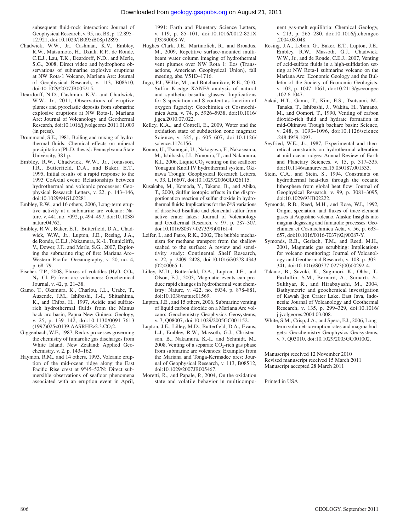subsequent fluid-rock interaction: Journal of Geophysical Research, v. 95, no. B8, p. 12,895– 12,921, doi:10.1029/JB095iB08p12895.

- Chadwick, W.W., Jr., Cashman, K.V., Embley, R.W., Matsumoto, H., Dziak, R.P., de Ronde, C.E.J., Lau, T.K., Deardorff, N.D., and Merle, S.G., 2008, Direct video and hydrophone observations of submarine explosive eruptions at NW Rota-1 Volcano, Mariana Arc: Journal of Geophysical Research, v. 113, B08S10, doi:10.1029/2007JB005215.
- Deardorff, N.D., Cashman, K.V., and Chadwick, W.W., Jr., 2011, Observations of eruptive plumes and pyroclastic deposits from submarine explosive eruptions at NW Rota-1, Mariana Arc: Journal of Volcanology and Geothermal Research, doi:10.1016/j.jvolgeores.2011.01.003 (in press).
- Drummond, S.E., 1981, Boiling and mixing of hydrothermal fluids: Chemical effects on mineral precipitation [Ph.D. thesis]: Pennsylvania State University, 381 p.
- Embley, R.W., Chadwick, W.W., Jr., Jonasson, I.R., Butterfield, D.A., and Baker, E.T., 1995, Initial results of a rapid response to the 1993 CoAxial event: Relationships between hydrothermal and volcanic processes: Geophysical Research Letters, v. 22, p. 143–146, doi:10.1029/94GL02281.
- Embley, R.W., and 16 others, 2006, Long-term eruptive activity at a submarine arc volcano: Nature, v. 441, no. 7092, p. 494–497, doi:10.1038/ nature04762.
- Embley, R.W., Baker, E.T., Butterfield, D.A., Chadwick, W.W., Jr., Lupton, J.E., Resing, J.A., de Ronde, C.E.J., Nakamura, K.-I., Tunnicliffe, V., Dower, J.F., and Merle, S.G., 2007, Exploring the submarine ring of fire: Mariana Arc-Western Pacific: Oceanography, v. 20, no. 4, p. 68–79.
- Fischer, T.P., 2008, Fluxes of volatiles  $(H_2O, CO_2,$  $N_2$ , Cl, F) from arc volcanoes: Geochemical Journal, v. 42, p. 21–38.
- Gamo, T., Okamura, K., Charlou, J.L., Urabe, T., Auzende, J.M., Ishibashi, J.-I., Shitashima, K., and Chiba, H., 1997, Acidic and sulfaterich hydrothermal fluids from the Manus back-arc basin, Papua New Guinea: Geology, v. 25, p. 139–142, doi:10.1130/0091-7613 (1997)025<0139:AASRHF>2.3.CO;2.
- Giggenbach, W.F., 1987, Redox processes governing the chemistry of fumarolic gas discharges from White Island, New Zealand: Applied Geochemistry, v. 2, p. 143–162.
- Haymon, R.M., and 14 others, 1993, Volcanic eruption of the mid-ocean ridge along the East Pacific Rise crest at 9°45–52'N: Direct submersible observations of seafloor phenomena associated with an eruption event in April,

1991: Earth and Planetary Science Letters, v. 119, p. 85–101, doi:10.1016/0012-821X (93)90008-W.

- Hughes Clark, J.E., Martinolich, R., and Broadus, M., 2009, Repetitive surface-mounted multibeam water column imaging of hydrothermal vent plumes over NW Rota 1: Eos (Transactions, American Geophysical Union), fall meeting, abs. V51D–1716.
- Jugo, P.J., Wilke, M., and Botcharnikov, R.E., 2010, Sulfur K-edge XANES analysis of natural and synthetic basaltic glasses: Implications for S speciation and S content as function of oxygen fugacity: Geochimica et Cosmochimica Acta, v. 74, p. 5926–5938, doi:10.1016/ j.gca.2010.07.022.
- Kelley, K.A., and Cottrell, E., 2009, Water and the oxidation state of subduction zone magmas: Science, v. 325, p. 605–607, doi:10.1126/ science.1174156.
- Konno, U., Tsunogai, U., Nakagawa, F., Nakaseama, M., Ishibashi, J.I., Nunoura, T., and Nakamura, K.I., 2006, Liquid  $CO<sub>2</sub>$  venting on the seafloor: Yonaguni Knoll IV hydrothermal system, Okinawa Trough: Geophysical Research Letters, v. 33, L16607, doi:10.1029/2006GL026115.
- Kusakabe, M., Komoda, Y., Takano, B., and Abiko, T., 2000, Sulfur isotopic effects in the disproportionation reaction of sulfur dioxide in hydrothermal fluids: Implications for the  $\delta^{34}S$  variations of dissolved bisulfate and elemental sulfur from active crater lakes: Journal of Volcanology and Geothermal Research, v. 97, p. 287–307, doi:10.1016/S0377-0273(99)00161-4.
- Leifer, I., and Patro, R.K., 2002, The bubble mechanism for methane transport from the shallow seabed to the surface: A review and sensitivity study: Continental Shelf Research, v. 22, p. 2409–2428, doi:10.1016/S0278-4343 (02)00065-1.
- Lilley, M.D., Butterfield, D.A., Lupton, J.E., and Olson, E.J., 2003, Magmatic events can produce rapid changes in hydrothermal vent chemistry: Nature, v. 422, no. 6934, p. 878–881, doi:10.1038/nature01569.
- Lupton, J.E., and 15 others, 2006, Submarine venting of liquid carbon dioxide on a Mariana Arc volcano: Geochemistry Geophysics Geosystems, v. 7, Q08007, doi:10.1029/2005GC001152.
- Lupton, J.E., Lilley, M.D., Butterfield, D.A., Evans, L.J., Embley, R.W., Massoth, G.J., Christenson, B., Nakamura, K.-I., and Schmidt, M., 2008, Venting of a separate  $CO_2$ -rich gas phase from submarine arc volcanoes: Examples from the Mariana and Tonga-Kermadec arcs: Journal of Geophysical Research, v. 113, B08S12, doi:10.1029/2007JB005467.
- Moretti, R., and Papale, P., 2004, On the oxidation state and volatile behavior in multicompo-

nent gas-melt equilibria: Chemical Geology, v. 213, p. 265–280, doi:10.1016/j.chemgeo .2004.08.048.

- Resing, J.A., Lebon, G., Baker, E.T., Lupton, J.E., Embley, R.W., Massoth, G.J., Chadwick, W.W., Jr., and de Ronde, C.E.J., 2007, Venting of acid-sulfate fluids in a high-sulfidation setting at NW Rota-1 submarine volcano on the Mariana Arc: Economic Geology and the Bulletin of the Society of Economic Geologists, v. 102, p. 1047–1061, doi:10.2113/gsecongeo .102.6.1047.
- Sakai, H.T., Gamo, T., Kim, E.S., Tsutsumi, M., Tanaka, T., Ishibashi, J., Wakita, H., Yamano, M., and Oomori, T., 1990, Venting of carbon dioxide-rich fluid and hydrate formation in mid-Okinawa Trough backarc basin: Science, v. 248, p. 1093–1096, doi:10.1126/science .248.4959.1093.
- Seyfried, W.E., Jr., 1987, Experimental and theoretical constraints on hydrothermal alteration at mid-ocean ridges: Annual Review of Earth and Planetary Sciences, v. 15, p. 317–335, doi:10.1146/annurev.ea.15.050187.001533.
- Stein, C.A., and Stein, S., 1994, Constraints on hydrothermal heat-flux through the oceanic lithosphere from global heat flow: Journal of Geophysical Research, v. 99, p. 3081–3095, doi:10.1029/93JB02222.
- Symonds, R.B., Reed, M.H., and Rose, W.I., 1992, Origin, speciation, and fluxes of trace-element gases at Augustine volcano, Alaska: Insights into magma degassing and fumarolic processes: Geochimica et Cosmochimica Acta, v. 56, p. 633– 657, doi:10.1016/0016-7037(92)90087-Y.
- Symonds, R.B., Gerlach, T.M., and Reed, M.H., 2001, Magmatic gas scrubbing: Implications for volcano monitoring: Journal of Volcanology and Geothermal Research, v. 108, p. 303– 341, doi:10.1016/S0377-0273(00)00292-4.
- Takano, B., Suzuki, K., Sugimori, K., Ohba, T., Fazlullin, S.M., Bernard, A., Sumarti, S., Sukhyar, R., and Hirabayashi, M., 2004, Bathymetric and geochemical investigation of Kawah Ijen Crater Lake, East Java, Indonesia: Journal of Volcanology and Geothermal Research, v. 135, p. 299–329, doi:10.1016/ j.jvolgeores.2004.03.008.
- White, S.M., Crisp, J.A., and Spera, F.J., 2006, Longterm volumetric eruption rates and magma budgets: Geochemistry Geophysics Geosystems, v. 7, Q03010, doi:10.1029/2005GC001002.

Manuscript received 12 November 2010 Revised manuscript received 15 March 2011 Manuscript accepted 28 March 2011

Printed in USA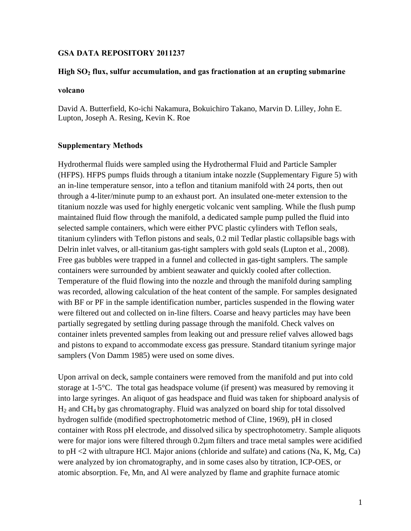### **GSA DATA REPOSITORY 2011237**

### **High SO2 flux, sulfur accumulation, and gas fractionation at an erupting submarine**

### **volcano**

David A. Butterfield, Ko-ichi Nakamura, Bokuichiro Takano, Marvin D. Lilley, John E. Lupton, Joseph A. Resing, Kevin K. Roe

### **Supplementary Methods**

Hydrothermal fluids were sampled using the Hydrothermal Fluid and Particle Sampler (HFPS). HFPS pumps fluids through a titanium intake nozzle (Supplementary Figure 5) with an in-line temperature sensor, into a teflon and titanium manifold with 24 ports, then out through a 4-liter/minute pump to an exhaust port. An insulated one-meter extension to the titanium nozzle was used for highly energetic volcanic vent sampling. While the flush pump maintained fluid flow through the manifold, a dedicated sample pump pulled the fluid into selected sample containers, which were either PVC plastic cylinders with Teflon seals, titanium cylinders with Teflon pistons and seals, 0.2 mil Tedlar plastic collapsible bags with Delrin inlet valves, or all-titanium gas-tight samplers with gold seals (Lupton et al., 2008). Free gas bubbles were trapped in a funnel and collected in gas-tight samplers. The sample containers were surrounded by ambient seawater and quickly cooled after collection. Temperature of the fluid flowing into the nozzle and through the manifold during sampling was recorded, allowing calculation of the heat content of the sample. For samples designated with BF or PF in the sample identification number, particles suspended in the flowing water were filtered out and collected on in-line filters. Coarse and heavy particles may have been partially segregated by settling during passage through the manifold. Check valves on container inlets prevented samples from leaking out and pressure relief valves allowed bags and pistons to expand to accommodate excess gas pressure. Standard titanium syringe major samplers (Von Damm 1985) were used on some dives.

Upon arrival on deck, sample containers were removed from the manifold and put into cold storage at 1-5°C. The total gas headspace volume (if present) was measured by removing it into large syringes. An aliquot of gas headspace and fluid was taken for shipboard analysis of H2 and CH4 by gas chromatography. Fluid was analyzed on board ship for total dissolved hydrogen sulfide (modified spectrophotometric method of Cline, 1969), pH in closed container with Ross pH electrode, and dissolved silica by spectrophotometry. Sample aliquots were for major ions were filtered through 0.2 $\mu$ m filters and trace metal samples were acidified to pH <2 with ultrapure HCl. Major anions (chloride and sulfate) and cations (Na, K, Mg, Ca) were analyzed by ion chromatography, and in some cases also by titration, ICP-OES, or atomic absorption. Fe, Mn, and Al were analyzed by flame and graphite furnace atomic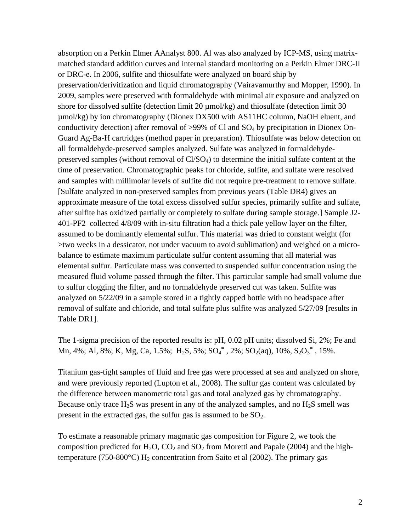absorption on a Perkin Elmer AAnalyst 800. Al was also analyzed by ICP-MS, using matrixmatched standard addition curves and internal standard monitoring on a Perkin Elmer DRC-II or DRC-e. In 2006, sulfite and thiosulfate were analyzed on board ship by preservation/derivitization and liquid chromatography (Vairavamurthy and Mopper, 1990). In 2009, samples were preserved with formaldehyde with minimal air exposure and analyzed on shore for dissolved sulfite (detection limit 20  $\mu$ mol/kg) and thiosulfate (detection limit 30 µmol/kg) by ion chromatography (Dionex DX500 with AS11HC column, NaOH eluent, and conductivity detection) after removal of  $>99\%$  of Cl and SO<sub>4</sub> by precipitation in Dionex On-Guard Ag-Ba-H cartridges (method paper in preparation). Thiosulfate was below detection on all formaldehyde-preserved samples analyzed. Sulfate was analyzed in formaldehydepreserved samples (without removal of Cl/SO4) to determine the initial sulfate content at the time of preservation. Chromatographic peaks for chloride, sulfite, and sulfate were resolved and samples with millimolar levels of sulfite did not require pre-treatment to remove sulfate. [Sulfate analyzed in non-preserved samples from previous years (Table DR4) gives an approximate measure of the total excess dissolved sulfur species, primarily sulfite and sulfate, after sulfite has oxidized partially or completely to sulfate during sample storage.] Sample J2- 401-PF2 collected 4/8/09 with in-situ filtration had a thick pale yellow layer on the filter, assumed to be dominantly elemental sulfur. This material was dried to constant weight (for >two weeks in a dessicator, not under vacuum to avoid sublimation) and weighed on a microbalance to estimate maximum particulate sulfur content assuming that all material was elemental sulfur. Particulate mass was converted to suspended sulfur concentration using the measured fluid volume passed through the filter. This particular sample had small volume due to sulfur clogging the filter, and no formaldehyde preserved cut was taken. Sulfite was analyzed on 5/22/09 in a sample stored in a tightly capped bottle with no headspace after removal of sulfate and chloride, and total sulfate plus sulfite was analyzed 5/27/09 [results in Table DR1].

The 1-sigma precision of the reported results is: pH, 0.02 pH units; dissolved Si, 2%; Fe and Mn, 4%; Al, 8%; K, Mg, Ca, 1.5%; H<sub>2</sub>S, 5%; SO<sub>4</sub><sup>=</sup>, 2%; SO<sub>2</sub>(aq), 10%, S<sub>2</sub>O<sub>3</sub><sup>=</sup>, 15%.

Titanium gas-tight samples of fluid and free gas were processed at sea and analyzed on shore, and were previously reported (Lupton et al., 2008). The sulfur gas content was calculated by the difference between manometric total gas and total analyzed gas by chromatography. Because only trace  $H_2S$  was present in any of the analyzed samples, and no  $H_2S$  smell was present in the extracted gas, the sulfur gas is assumed to be  $SO_2$ .

To estimate a reasonable primary magmatic gas composition for Figure 2, we took the composition predicted for  $H_2O$ ,  $CO_2$  and  $SO_2$  from Moretti and Papale (2004) and the hightemperature (750-800 $^{\circ}$ C) H<sub>2</sub> concentration from Saito et al (2002). The primary gas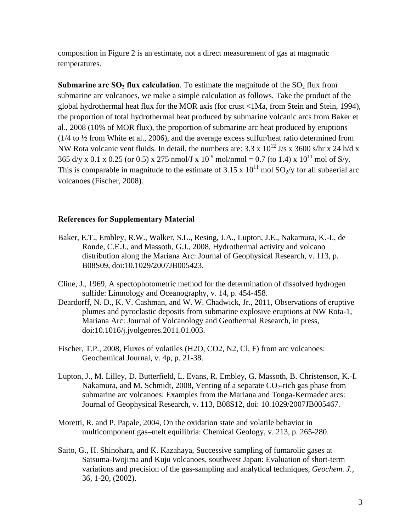composition in Figure 2 is an estimate, not a direct measurement of gas at magmatic temperatures.

**Submarine arc SO<sub>2</sub> flux calculation**. To estimate the magnitude of the  $SO_2$  flux from submarine arc volcanoes, we make a simple calculation as follows. Take the product of the global hydrothermal heat flux for the MOR axis (for crust <1Ma, from Stein and Stein, 1994), the proportion of total hydrothermal heat produced by submarine volcanic arcs from Baker et al., 2008 (10% of MOR flux), the proportion of submarine arc heat produced by eruptions (1/4 to ½ from White et al., 2006), and the average excess sulfur/heat ratio determined from NW Rota volcanic vent fluids. In detail, the numbers are:  $3.3 \times 10^{12}$  J/s x 3600 s/hr x 24 h/d x 365 d/y x 0.1 x 0.25 (or 0.5) x 275 nmol/J x  $10^{-9}$  mol/nmol = 0.7 (to 1.4) x  $10^{11}$  mol of S/y. This is comparable in magnitude to the estimate of 3.15 x  $10^{11}$  mol SO<sub>2</sub>/y for all subaerial arc volcanoes (Fischer, 2008).

### **References for Supplementary Material**

- Baker, E.T., Embley, R.W., Walker, S.L., Resing, J.A., Lupton, J.E., Nakamura, K.-I., de Ronde, C.E.J., and Massoth, G.J., 2008, Hydrothermal activity and volcano distribution along the Mariana Arc: Journal of Geophysical Research, v. 113, p. B08S09, doi:10.1029/2007JB005423.
- Cline, J., 1969, A spectophotometric method for the determination of dissolved hydrogen sulfide: Limnology and Oceanography, v. 14, p. 454-458.
- Deardorff, N. D., K. V. Cashman, and W. W. Chadwick, Jr., 2011, Observations of eruptive plumes and pyroclastic deposits from submarine explosive eruptions at NW Rota-1, Mariana Arc: Journal of Volcanology and Geothermal Research, in press, doi:10.1016/j.jvolgeores.2011.01.003.
- Fischer, T.P., 2008, Fluxes of volatiles (H2O, CO2, N2, Cl, F) from arc volcanoes: Geochemical Journal, v. 4p, p. 21-38.
- Lupton, J., M. Lilley, D. Butterfield, L. Evans, R. Embley, G. Massoth, B. Christenson, K.-I. Nakamura, and M. Schmidt, 2008, Venting of a separate  $CO_2$ -rich gas phase from submarine arc volcanoes: Examples from the Mariana and Tonga-Kermadec arcs: Journal of Geophysical Research, v. 113, B08S12, doi: 10.1029/2007JB005467.
- Moretti, R. and P. Papale, 2004, On the oxidation state and volatile behavior in multicomponent gas–melt equilibria: Chemical Geology, v. 213, p. 265-280.
- Saito, G., H. Shinohara, and K. Kazahaya, Successive sampling of fumarolic gases at Satsuma-Iwojima and Kuju volcanoes, southwest Japan: Evaluation of short-term variations and precision of the gas-sampling and analytical techniques, *Geochem. J.,*  36, 1-20, (2002).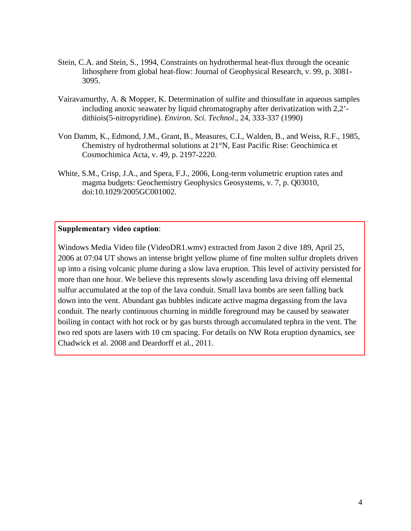- Stein, C.A. and Stein, S., 1994, Constraints on hydrothermal heat-flux through the oceanic lithosphere from global heat-flow: Journal of Geophysical Research, v. 99, p. 3081- 3095.
- Vairavamurthy, A. & Mopper, K. Determination of sulfite and thiosulfate in aqueous samples including anoxic seawater by liquid chromatography after derivatization with 2,2' dithiois(5-nitropyridine). *Environ. Sci. Technol*., 24, 333-337 (1990)
- Von Damm, K., Edmond, J.M., Grant, B., Measures, C.I., Walden, B., and Weiss, R.F., 1985, Chemistry of hydrothermal solutions at 21°N, East Pacific Rise: Geochimica et Cosmochimica Acta, v. 49, p. 2197-2220.
- White, S.M., Crisp, J.A., and Spera, F.J., 2006, Long-term volumetric eruption rates and magma budgets: Geochemistry Geophysics Geosystems, v. 7, p. Q03010, doi:10.1029/2005GC001002.

### **Supplementary video caption**:

Windows Media Video file (VideoDR1.wmv) extracted from Jason 2 dive 189, April 25, 2006 at 07:04 UT shows an intense bright yellow plume of fine molten sulfur droplets driven [up into a rising volcanic plume during a slow lava eruption. This level of activity persisted for](ftp://rock.geosociety.org/pub/reposit/2011/2011237VideoDR1.wmv)  more than one hour. We believe this represents slowly ascending lava driving off elemental sulfur accumulated at the top of the lava conduit. Small lava bombs are seen falling back down into the vent. Abundant gas bubbles indicate active magma degassing from the lava conduit. The nearly continuous churning in middle foreground may be caused by seawater boiling in contact with hot rock or by gas bursts through accumulated tephra in the vent. The two red spots are lasers with 10 cm spacing. For details on NW Rota eruption dynamics, see Chadwick et al. 2008 and Deardorff et al., 2011.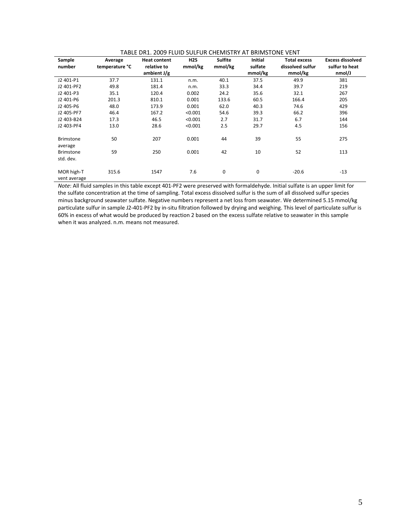| Sample           | Average        | <b>Heat content</b> | H <sub>2</sub> S | <b>Sulfite</b> | Initial | <b>Total excess</b> | <b>Excess dissolved</b> |
|------------------|----------------|---------------------|------------------|----------------|---------|---------------------|-------------------------|
|                  |                |                     |                  |                |         |                     |                         |
| number           | temperature °C | relative to         | mmol/kg          | mmol/kg        | sulfate | dissolved sulfur    | sulfur to heat          |
|                  |                | ambient $J/g$       |                  |                | mmol/kg | mmol/kg             | nmol/J                  |
| J2 401-P1        | 37.7           | 131.1               | n.m.             | 40.1           | 37.5    | 49.9                | 381                     |
| J2 401-PF2       | 49.8           | 181.4               | n.m.             | 33.3           | 34.4    | 39.7                | 219                     |
| J2 401-P3        | 35.1           | 120.4               | 0.002            | 24.2           | 35.6    | 32.1                | 267                     |
| J2 401-P6        | 201.3          | 810.1               | 0.001            | 133.6          | 60.5    | 166.4               | 205                     |
| J2 405-P6        | 48.0           | 173.9               | 0.001            | 62.0           | 40.3    | 74.6                | 429                     |
| J2 405-PF7       | 46.4           | 167.2               | < 0.001          | 54.6           | 39.3    | 66.2                | 396                     |
| J2 403-B24       | 17.3           | 46.5                | < 0.001          | 2.7            | 31.7    | 6.7                 | 144                     |
| J2 403-PF4       | 13.0           | 28.6                | < 0.001          | 2.5            | 29.7    | 4.5                 | 156                     |
|                  |                |                     |                  |                |         |                     |                         |
| <b>Brimstone</b> | 50             | 207                 | 0.001            | 44             | 39      | 55                  | 275                     |
| average          |                |                     |                  |                |         |                     |                         |
| <b>Brimstone</b> | 59             | 250                 | 0.001            | 42             | 10      | 52                  | 113                     |
| std. dev.        |                |                     |                  |                |         |                     |                         |
|                  |                |                     |                  |                |         |                     |                         |
| MOR high-T       | 315.6          | 1547                | 7.6              | 0              | 0       | $-20.6$             | $-13$                   |
| vent average     |                |                     |                  |                |         |                     |                         |

### TABLE DR1. 2009 FLUID SULFUR CHEMISTRY AT BRIMSTONE VENT

*Note*: All fluid samples in this table except 401‐PF2 were preserved with formaldehyde. Initial sulfate is an upper limit for the sulfate concentration at the time of sampling. Total excess dissolved sulfur is the sum of all dissolved sulfur species minus background seawater sulfate. Negative numbers represent a net loss from seawater. We determined 5.15 mmol/kg particulate sulfur in sample J2‐401‐PF2 by in‐situ filtration followed by drying and weighing. This level of particulate sulfur is 60% in excess of what would be produced by reaction 2 based on the excess sulfate relative to seawater in this sample when it was analyzed. n.m. means not measured.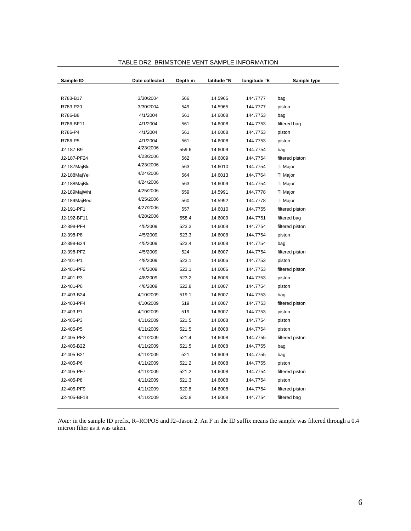| Sample ID    | Date collected | Depth m | latitude °N | longitude °E | Sample type     |
|--------------|----------------|---------|-------------|--------------|-----------------|
|              |                |         |             |              |                 |
| R783-B17     | 3/30/2004      | 566     | 14.5965     | 144.7777     | bag             |
| R783-P20     | 3/30/2004      | 549     | 14.5965     | 144.7777     | piston          |
| R786-B8      | 4/1/2004       | 561     | 14.6008     | 144.7753     | bag             |
| R786-BF11    | 4/1/2004       | 561     | 14.6008     | 144.7753     | filtered bag    |
| R786-P4      | 4/1/2004       | 561     | 14.6008     | 144.7753     | piston          |
| R786-P5      | 4/1/2004       | 561     | 14.6008     | 144.7753     | piston          |
| J2-187-B9    | 4/23/2006      | 559.6   | 14.6009     | 144.7754     | bag             |
| J2-187-PF24  | 4/23/2006      | 562     | 14.6009     | 144.7754     | filtered piston |
| J2-187MajBlu | 4/23/2006      | 563     | 14.6010     | 144.7754     | Ti Major        |
| J2-188MajYel | 4/24/2006      | 564     | 14.6013     | 144.7764     | Ti Major        |
| J2-188MajBlu | 4/24/2006      | 563     | 14.6009     | 144.7754     | Ti Major        |
| J2-189MajWht | 4/25/2006      | 559     | 14.5991     | 144.7778     | Ti Major        |
| J2-189MajRed | 4/25/2006      | 560     | 14.5992     | 144.7778     | Ti Major        |
| J2-191-PF1   | 4/27/2006      | 557     | 14.6010     | 144.7755     | filtered piston |
| J2-192-BF11  | 4/28/2006      | 558.4   | 14.6009     | 144.7751     | filtered bag    |
| J2-398-PF4   | 4/5/2009       | 523.3   | 14.6008     | 144.7754     | filtered piston |
| J2-398-P8    | 4/5/2009       | 523.3   | 14.6008     | 144.7754     | piston          |
| J2-398-B24   | 4/5/2009       | 523.4   | 14.6008     | 144.7754     | bag             |
| J2-398-PF2   | 4/5/2009       | 524     | 14.6007     | 144.7754     | filtered piston |
| J2-401-P1    | 4/8/2009       | 523.1   | 14.6006     | 144.7753     | piston          |
| J2-401-PF2   | 4/8/2009       | 523.1   | 14.6006     | 144.7753     | filtered piston |
| J2-401-P3    | 4/8/2009       | 523.2   | 14.6006     | 144.7753     | piston          |
| J2-401-P6    | 4/8/2009       | 522.8   | 14.6007     | 144.7754     | piston          |
| J2-403-B24   | 4/10/2009      | 519.1   | 14.6007     | 144.7753     | bag             |
| J2-403-PF4   | 4/10/2009      | 519     | 14.6007     | 144.7753     | filtered piston |
| J2-403-P1    | 4/10/2009      | 519     | 14.6007     | 144.7753     | piston          |
| J2-405-P3    | 4/11/2009      | 521.5   | 14.6008     | 144.7754     | piston          |
| J2-405-P5    | 4/11/2009      | 521.5   | 14.6008     | 144.7754     | piston          |
| J2-405-PF2   | 4/11/2009      | 521.4   | 14.6008     | 144.7755     | filtered piston |
| J2-405-B22   | 4/11/2009      | 521.5   | 14.6008     | 144.7755     | bag             |
| J2-405-B21   | 4/11/2009      | 521     | 14.6009     | 144.7755     | bag             |
| J2-405-P6    | 4/11/2009      | 521.2   | 14.6008     | 144.7755     | piston          |
| J2-405-PF7   | 4/11/2009      | 521.2   | 14.6008     | 144.7754     | filtered piston |
| J2-405-P8    | 4/11/2009      | 521.3   | 14.6008     | 144.7754     | piston          |
| J2-405-PF9   | 4/11/2009      | 520.8   | 14.6008     | 144.7754     | filtered piston |
| J2-405-BF18  | 4/11/2009      | 520.8   | 14.6008     | 144.7754     | filtered bag    |
|              |                |         |             |              |                 |

### TABLE DR2. BRIMSTONE VENT SAMPLE INFORMATION

*Note:* in the sample ID prefix, R=ROPOS and J2=Jason 2. An F in the ID suffix means the sample was filtered through a 0.4 micron filter as it was taken.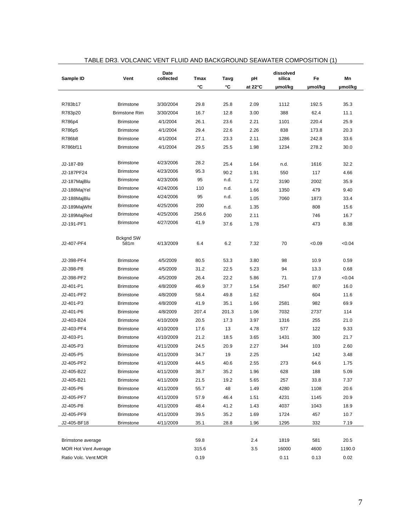| Sample ID                   | Vent                     | Date<br>collected | <b>Tmax</b> | Tavg  | рH                | dissolved<br>silica | Fe      | Mn      |
|-----------------------------|--------------------------|-------------------|-------------|-------|-------------------|---------------------|---------|---------|
|                             |                          |                   | °C          | °C    | at $22^{\circ}$ C | µmol/kg             | µmol/kg | µmol/kg |
|                             |                          |                   |             |       |                   |                     |         |         |
| R783b17                     | <b>Brimstone</b>         | 3/30/2004         | 29.8        | 25.8  | 2.09              | 1112                | 192.5   | 35.3    |
| R783p20                     | <b>Brimstone Rim</b>     | 3/30/2004         | 16.7        | 12.8  | 3.00              | 388                 | 62.4    | 11.1    |
| R786p4                      | <b>Brimstone</b>         | 4/1/2004          | 26.1        | 23.6  | 2.21              | 1101                | 220.4   | 25.9    |
| R786p5                      | <b>Brimstone</b>         | 4/1/2004          | 29.4        | 22.6  | 2.26              | 838                 | 173.8   | 20.3    |
| R786b8                      | <b>Brimstone</b>         | 4/1/2004          | 27.1        | 23.3  | 2.11              | 1286                | 242.8   | 33.6    |
| R786bf11                    | <b>Brimstone</b>         | 4/1/2004          | 29.5        | 25.5  | 1.98              | 1234                | 278.2   | 30.0    |
|                             |                          |                   |             |       |                   |                     |         |         |
| J2-187-B9                   | <b>Brimstone</b>         | 4/23/2006         | 28.2        | 25.4  | 1.64              | n.d.                | 1616    | 32.2    |
| J2-187PF24                  | <b>Brimstone</b>         | 4/23/2006         | 95.3        | 90.2  | 1.91              | 550                 | 117     | 4.66    |
| J2-187MajBlu                | <b>Brimstone</b>         | 4/23/2006         | 95          | n.d.  | 1.72              | 3190                | 2002    | 35.9    |
| J2-188MajYel                | <b>Brimstone</b>         | 4/24/2006         | 110         | n.d.  | 1.66              | 1350                | 479     | 9.40    |
| J2-188MajBlu                | <b>Brimstone</b>         | 4/24/2006         | 95          | n.d.  | 1.05              | 7060                | 1873    | 33.4    |
| J2-189MajWht                | <b>Brimstone</b>         | 4/25/2006         | 200         | n.d.  | 1.35              |                     | 808     | 15.6    |
| J2-189MajRed                | <b>Brimstone</b>         | 4/25/2006         | 256.6       | 200   | 2.11              |                     | 746     | 16.7    |
| J2-191-PF1                  | <b>Brimstone</b>         | 4/27/2006         | 41.9        | 37.6  | 1.78              |                     | 473     | 8.38    |
|                             |                          |                   |             |       |                   |                     |         |         |
| J2-407-PF4                  | <b>Bckgnd SW</b><br>581m | 4/13/2009         | 6.4         | 6.2   | 7.32              | 70                  | <0.09   | < 0.04  |
|                             |                          |                   |             |       |                   |                     |         |         |
| J2-398-PF4                  | <b>Brimstone</b>         | 4/5/2009          | 80.5        | 53.3  | 3.80              | 98                  | 10.9    | 0.59    |
| J2-398-P8                   | <b>Brimstone</b>         | 4/5/2009          | 31.2        | 22.5  | 5.23              | 94                  | 13.3    | 0.68    |
| J2-398-PF2                  | <b>Brimstone</b>         | 4/5/2009          | 26.4        | 22.2  | 5.86              | 71                  | 17.9    | < 0.04  |
| J2-401-P1                   | <b>Brimstone</b>         | 4/8/2009          | 46.9        | 37.7  | 1.54              | 2547                | 807     | 16.0    |
| J2-401-PF2                  | <b>Brimstone</b>         | 4/8/2009          | 58.4        | 49.8  | 1.62              |                     | 604     | 11.6    |
| J2-401-P3                   | <b>Brimstone</b>         | 4/8/2009          | 41.9        | 35.1  | 1.66              | 2581                | 982     | 69.9    |
| J2-401-P6                   | <b>Brimstone</b>         | 4/8/2009          | 207.4       | 201.3 | 1.06              | 7032                | 2737    | 114     |
| J2-403-B24                  | <b>Brimstone</b>         | 4/10/2009         | 20.5        | 17.3  | 3.97              | 1316                | 255     | 21.0    |
| J2-403-PF4                  | <b>Brimstone</b>         | 4/10/2009         | 17.6        | 13    | 4.78              | 577                 | 122     | 9.33    |
| J2-403-P1                   | <b>Brimstone</b>         | 4/10/2009         | 21.2        | 18.5  | 3.65              | 1431                | 300     | 21.7    |
| J2-405-P3                   | <b>Brimstone</b>         | 4/11/2009         | 24.5        | 20.9  | 2.27              | 344                 | 103     | 2.60    |
| J2-405-P5                   | <b>Brimstone</b>         | 4/11/2009         | 34.7        | 19    | 2.25              |                     | 142     | 3.48    |
| J2-405-PF2                  | <b>Brimstone</b>         | 4/11/2009         | 44.5        | 40.6  | 2.55              | 273                 | 64.6    | 1.75    |
| J2-405-B22                  | <b>Brimstone</b>         | 4/11/2009         | 38.7        | 35.2  | 1.96              | 628                 | 188     | 5.09    |
| J2-405-B21                  | <b>Brimstone</b>         | 4/11/2009         | 21.5        | 19.2  | 5.65              | 257                 | 33.8    | 7.37    |
| J2-405-P6                   | <b>Brimstone</b>         | 4/11/2009         | 55.7        | 48    | 1.49              | 4280                | 1108    | 20.6    |
| J2-405-PF7                  | <b>Brimstone</b>         | 4/11/2009         | 57.9        | 46.4  | 1.51              | 4231                | 1145    | 20.9    |
| J2-405-P8                   | <b>Brimstone</b>         | 4/11/2009         | 48.4        | 41.2  | 1.43              | 4037                | 1043    | 18.9    |
| J2-405-PF9                  | <b>Brimstone</b>         | 4/11/2009         | 39.5        | 35.2  | 1.69              | 1724                | 457     | 10.7    |
| J2-405-BF18                 | <b>Brimstone</b>         | 4/11/2009         | 35.1        | 28.8  | 1.96              | 1295                | 332     | 7.19    |
|                             |                          |                   |             |       |                   |                     |         |         |
| Brimstone average           |                          |                   | 59.8        |       | 2.4               | 1819                | 581     | 20.5    |
| <b>MOR Hot Vent Average</b> |                          |                   | 315.6       |       | 3.5               | 16000               | 4600    | 1190.0  |
| Ratio Volc. Vent:MOR        |                          |                   | 0.19        |       |                   | 0.11                | 0.13    | 0.02    |

# TABLE DR3. VOLCANIC VENT FLUID AND BACKGROUND SEAWATER COMPOSITION (1)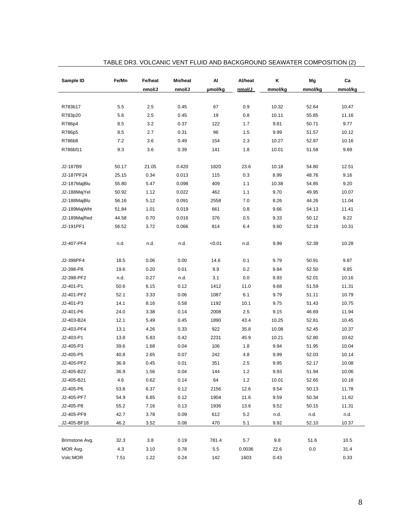| Sample ID      | Fe/Mn | Fe/heat | Mn/heat | Al      | Al/heat | Κ       | Mg      | Ca      |
|----------------|-------|---------|---------|---------|---------|---------|---------|---------|
|                |       | nmol/J  | nmol/J  | µmol/kg | nmol/J_ | mmol/kg | mmol/kg | mmol/kg |
|                |       |         |         |         |         |         |         |         |
| R783b17        | 5.5   | 2.5     | 0.45    | 67      | 0.9     | 10.32   | 52.64   | 10.47   |
| R783p20        | 5.6   | 2.5     | 0.45    | 19      | 0.8     | 10.11   | 55.85   | 11.16   |
| R786p4         | 8.5   | 3.2     | 0.37    | 122     | 1.7     | 9.81    | 50.71   | 9.77    |
| R786p5         | 8.5   | 2.7     | 0.31    | 96      | 1.5     | 9.99    | 51.57   | 10.12   |
| R786b8         | 7.2   | 3.6     | 0.49    | 154     | 2.3     | 10.27   | 52.87   | 10.16   |
| R786bf11       | 9.3   | 3.6     | 0.39    | 141     | 1.8     | 10.01   | 51.58   | 9.89    |
|                |       |         |         |         |         |         |         |         |
| J2-187B9       | 50.17 | 21.05   | 0.420   | 1820    | 23.6    | 10.18   | 54.80   | 12.51   |
| J2-187PF24     | 25.15 | 0.34    | 0.013   | 115     | 0.3     | 8.99    | 48.76   | 9.16    |
| J2-187MajBlu   | 55.80 | 5.47    | 0.098   | 409     | 1.1     | 10.38   | 54.85   | 9.20    |
| J2-188MajYel   | 50.92 | 1.12    | 0.022   | 462     | 1.1     | 9.70    | 49.95   | 10.07   |
| J2-188MajBlu   | 56.16 | 5.12    | 0.091   | 2558    | 7.0     | 8.26    | 44.26   | 11.04   |
| J2-189MajWht   | 51.84 | 1.01    | 0.019   | 661     | 0.8     | 9.66    | 54.13   | 11.41   |
| J2-189MajRed   | 44.58 | 0.70    | 0.016   | 376     | 0.5     | 9.33    | 50.12   | 9.22    |
| J2-191PF1      | 56.52 | 3.72    | 0.066   | 814     | 6.4     | 9.60    | 52.19   | 10.31   |
|                |       |         |         |         |         |         |         |         |
| J2-407-PF4     | n.d.  | n.d.    | n.d.    | 0.01    | n.d.    | 9.99    | 52.39   | 10.28   |
|                |       |         |         |         |         |         |         |         |
| J2-398PF4      | 18.5  | 0.06    | 0.00    | 14.6    | 0.1     | 9.79    | 50.91   | 9.87    |
| J2-398-P8      | 19.6  | 0.20    | 0.01    | 9.9     | 0.2     | 9.84    | 52.50   | 9.85    |
| J2-398-PF2     | n.d.  | 0.27    | n.d.    | 3.1     | 0.0     | 9.93    | 52.01   | 10.16   |
| J2-401-P1      | 50.6  | 6.15    | 0.12    | 1412    | 11.0    | 9.68    | 51.59   | 11.31   |
| J2-401-PF2     | 52.1  | 3.33    | 0.06    | 1087    | 6.1     | 9.79    | 51.11   | 10.79   |
| J2-401-P3      | 14.1  | 8.16    | 0.58    | 1192    | 10.1    | 9.75    | 51.43   | 10.75   |
| J2-401-P6      | 24.0  | 3.38    | 0.14    | 2008    | 2.5     | 9.15    | 46.69   | 11.94   |
| J2-403-B24     | 12.1  | 5.49    | 0.45    | 1890    | 43.4    | 10.25   | 52.81   | 10.45   |
| J2-403-PF4     | 13.1  | 4.26    | 0.33    | 922     | 35.8    | 10.08   | 52.45   | 10.37   |
| J2-403-P1      | 13.8  | 5.83    | 0.42    | 2231    | 45.9    | 10.21   | 52.80   | 10.62   |
| J2-405-P3      | 39.6  | 1.68    | 0.04    | 106     | 1.8     | 9.94    | 51.95   | 10.04   |
| J2-405-P5      | 40.8  | 2.65    | 0.07    | 242     | 4.8     | 9.99    | 52.03   | 10.14   |
| J2-405-PF2     | 36.9  | 0.45    | 0.01    | 351     | 2.5     | 9.95    | 52.17   | 10.08   |
| J2-405-B22     | 36.9  | 1.56    | 0.04    | 144     | 1.2     | 9.93    | 51.94   | 10.06   |
| J2-405-B21     | 4.6   | 0.62    | 0.14    | 64      | 1.2     | 10.01   | 52.65   | 10.18   |
| J2-405-P6      | 53.8  | 6.37    | 0.12    | 2156    | 12.6    | 9.54    | 50.13   | 11.78   |
| J2-405-PF7     | 54.9  | 6.85    | 0.12    | 1904    | 11.6    | 9.59    | 50.34   | 11.62   |
| J2-405-P8      | 55.2  | 7.16    | 0.13    | 1936    | 13.6    | 9.52    | 50.15   | 11.31   |
| J2-405-PF9     | 42.7  | 3.78    | 0.09    | 612     | $5.2\,$ | n.d.    | n.d.    | n.d.    |
| J2-405-BF18    | 46.2  | 3.52    | 0.08    | 470     | 5.1     | 9.92    | 52.10   | 10.37   |
|                |       |         |         |         |         |         |         |         |
| Brimstone Avg. | 32.3  | 3.8     | 0.19    | 781.4   | 5.7     | 9.8     | 51.6    | 10.5    |
| MOR Avg.       | 4.3   | 3.10    | 0.78    | 5.5     | 0.0036  | 22.6    | 0.0     | 31.4    |
| Volc:MOR       | 7.51  | 1.22    | 0.24    | 142     | 1603    | 0.43    |         | 0.33    |

### TABLE DR3. VOLCANIC VENT FLUID AND BACKGROUND SEAWATER COMPOSITION (2)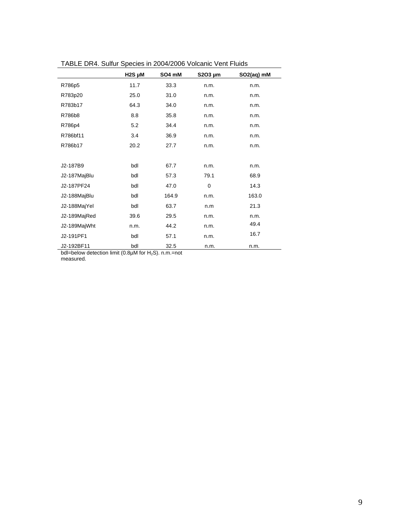|              | $H2S$ µM | SO4 mM | $$2O3 \mu m$ | SO <sub>2</sub> (aq) mM |
|--------------|----------|--------|--------------|-------------------------|
| R786p5       | 11.7     | 33.3   | n.m.         | n.m.                    |
| R783p20      | 25.0     | 31.0   | n.m.         | n.m.                    |
| R783b17      | 64.3     | 34.0   | n.m.         | n.m.                    |
| R786b8       | 8.8      | 35.8   | n.m.         | n.m.                    |
| R786p4       | 5.2      | 34.4   | n.m.         | n.m.                    |
| R786bf11     | 3.4      | 36.9   | n.m.         | n.m.                    |
| R786b17      | 20.2     | 27.7   | n.m.         | n.m.                    |
|              |          |        |              |                         |
| J2-187B9     | bdl      | 67.7   | n.m.         | n.m.                    |
| J2-187MajBlu | bdl      | 57.3   | 79.1         | 68.9                    |
| J2-187PF24   | bdl      | 47.0   | $\mathbf 0$  | 14.3                    |
| J2-188MajBlu | bdl      | 164.9  | n.m.         | 163.0                   |
| J2-188MajYel | bdl      | 63.7   | n.m          | 21.3                    |
| J2-189MajRed | 39.6     | 29.5   | n.m.         | n.m.                    |
| J2-189MajWht | n.m.     | 44.2   | n.m.         | 49.4                    |
| J2-191PF1    | bdl      | 57.1   | n.m.         | 16.7                    |
| J2-192BF11   | bdl      | 32.5   | n.m.         | n.m.                    |

TABLE DR4. Sulfur Species in 2004/2006 Volcanic Vent Fluids

bdl=below detection limit (0.8 $\mu$ M for H<sub>2</sub>S). n.m.=not

measured.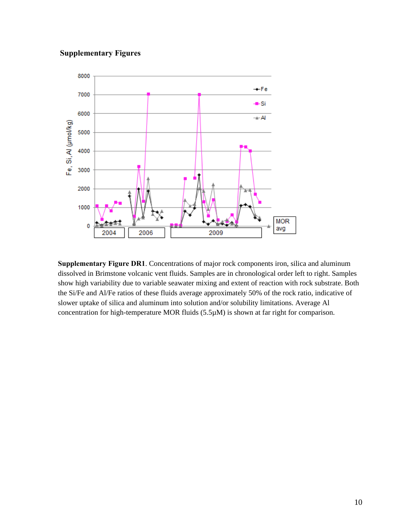# **Supplementary Figures**



**Supplementary Figure DR1**. Concentrations of major rock components iron, silica and aluminum dissolved in Brimstone volcanic vent fluids. Samples are in chronological order left to right. Samples show high variability due to variable seawater mixing and extent of reaction with rock substrate. Both the Si/Fe and Al/Fe ratios of these fluids average approximately 50% of the rock ratio, indicative of slower uptake of silica and aluminum into solution and/or solubility limitations. Average Al concentration for high-temperature MOR fluids (5.5µM) is shown at far right for comparison.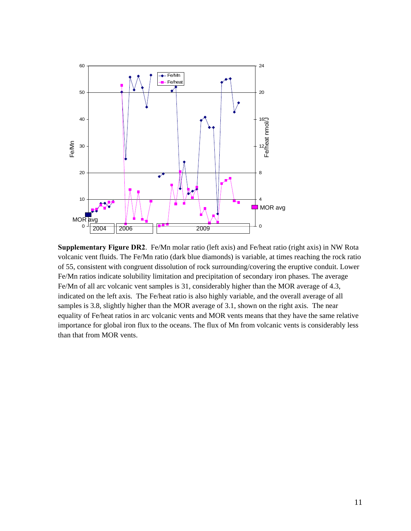

**Supplementary Figure DR2**. Fe/Mn molar ratio (left axis) and Fe/heat ratio (right axis) in NW Rota volcanic vent fluids. The Fe/Mn ratio (dark blue diamonds) is variable, at times reaching the rock ratio of 55, consistent with congruent dissolution of rock surrounding/covering the eruptive conduit. Lower Fe/Mn ratios indicate solubility limitation and precipitation of secondary iron phases. The average Fe/Mn of all arc volcanic vent samples is 31, considerably higher than the MOR average of 4.3, indicated on the left axis. The Fe/heat ratio is also highly variable, and the overall average of all samples is 3.8, slightly higher than the MOR average of 3.1, shown on the right axis. The near equality of Fe/heat ratios in arc volcanic vents and MOR vents means that they have the same relative importance for global iron flux to the oceans. The flux of Mn from volcanic vents is considerably less than that from MOR vents.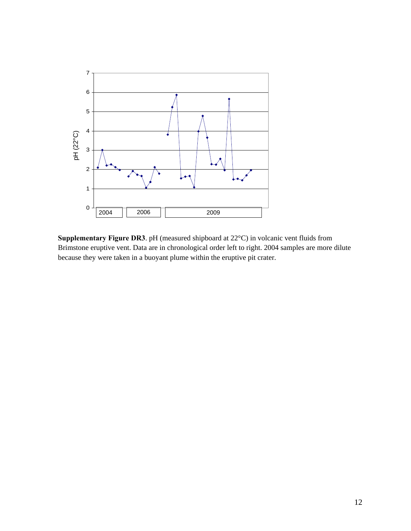

**Supplementary Figure DR3**. pH (measured shipboard at 22°C) in volcanic vent fluids from Brimstone eruptive vent. Data are in chronological order left to right. 2004 samples are more dilute because they were taken in a buoyant plume within the eruptive pit crater.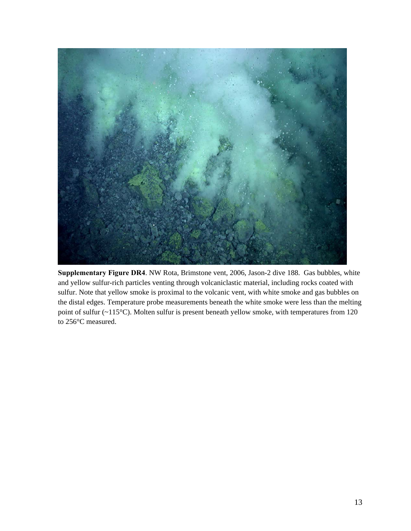

**Supplementary Figure DR4**. NW Rota, Brimstone vent, 2006, Jason-2 dive 188. Gas bubbles, white and yellow sulfur-rich particles venting through volcaniclastic material, including rocks coated with sulfur. Note that yellow smoke is proximal to the volcanic vent, with white smoke and gas bubbles on the distal edges. Temperature probe measurements beneath the white smoke were less than the melting point of sulfur (~115°C). Molten sulfur is present beneath yellow smoke, with temperatures from 120 to 256°C measured.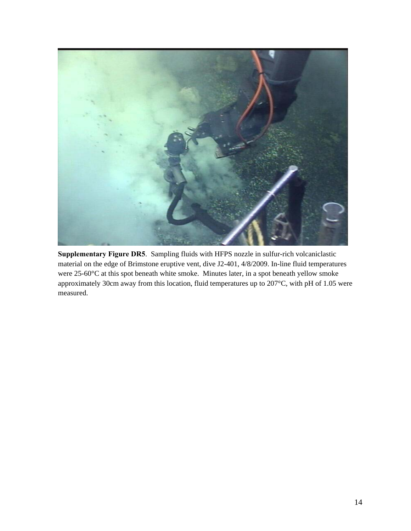

**Supplementary Figure DR5**. Sampling fluids with HFPS nozzle in sulfur-rich volcaniclastic material on the edge of Brimstone eruptive vent, dive J2-401, 4/8/2009. In-line fluid temperatures were 25-60°C at this spot beneath white smoke. Minutes later, in a spot beneath yellow smoke approximately 30cm away from this location, fluid temperatures up to 207°C, with pH of 1.05 were measured.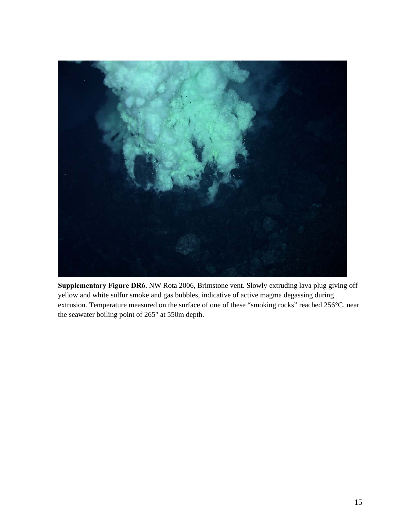

**Supplementary Figure DR6**. NW Rota 2006, Brimstone vent. Slowly extruding lava plug giving off yellow and white sulfur smoke and gas bubbles, indicative of active magma degassing during extrusion. Temperature measured on the surface of one of these "smoking rocks" reached 256°C, near the seawater boiling point of 265° at 550m depth.